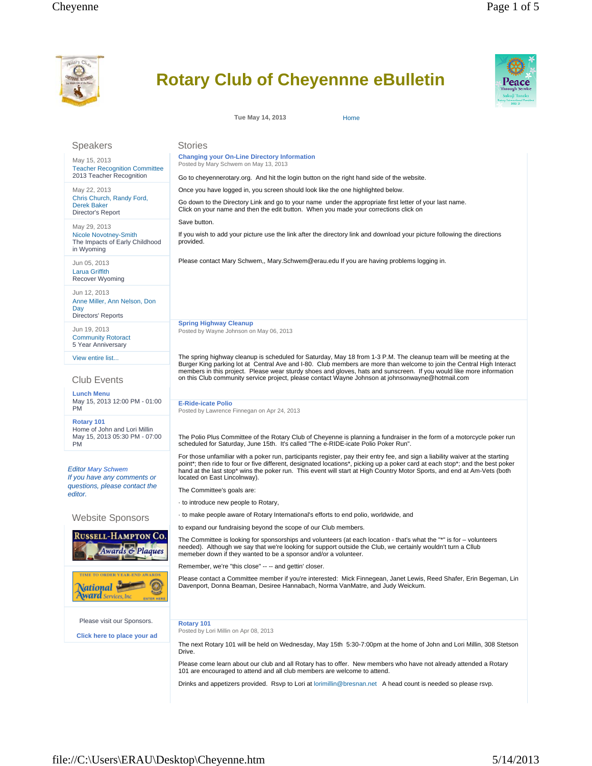

## **Rotary Club of Cheyennne eBulletin**



|  | Tue May 14, 201 |  |
|--|-----------------|--|
|  |                 |  |

**Tue May 14, 2013** Home

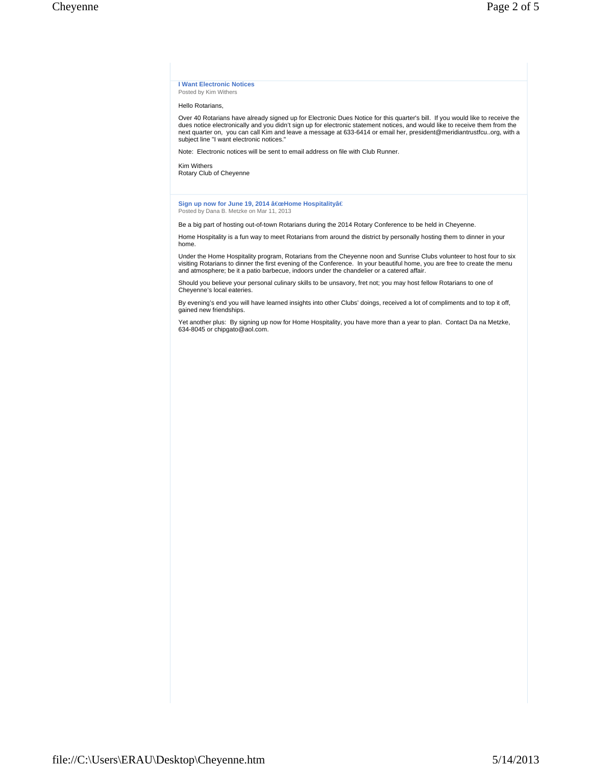**I Want Electronic Notices** Posted by Kim Withers

Hello Rotarians,

Over 40 Rotarians have already signed up for Electronic Dues Notice for this quarter's bill. If you would like to receive the dues notice electronically and you didn't sign up for electronic statement notices, and would like to receive them from the<br>next quarter on, you can call Kim and leave a message at 633-6414 or email her, president@meridia subject line "I want electronic notices."

Note: Electronic notices will be sent to email address on file with Club Runner.

Kim Withers Rotary Club of Cheyenne

**Sign up now for June 19, 2014 â€œHome Hospitalityâ€** Posted by Dana B. Metzke on Mar 11, 2013

Be a big part of hosting out-of-town Rotarians during the 2014 Rotary Conference to be held in Cheyenne.

Home Hospitality is a fun way to meet Rotarians from around the district by personally hosting them to dinner in your home.

Under the Home Hospitality program, Rotarians from the Cheyenne noon and Sunrise Clubs volunteer to host four to six<br>visiting Rotarians to dinner the first evening of the Conference. In your beautiful home, you are free to

Should you believe your personal culinary skills to be unsavory, fret not; you may host fellow Rotarians to one of Cheyenne's local eateries.

By evening's end you will have learned insights into other Clubs' doings, received a lot of compliments and to top it off, gained new friendships.

Yet another plus: By signing up now for Home Hospitality, you have more than a year to plan. Contact Da na Metzke, 634-8045 or chipgato@aol.com.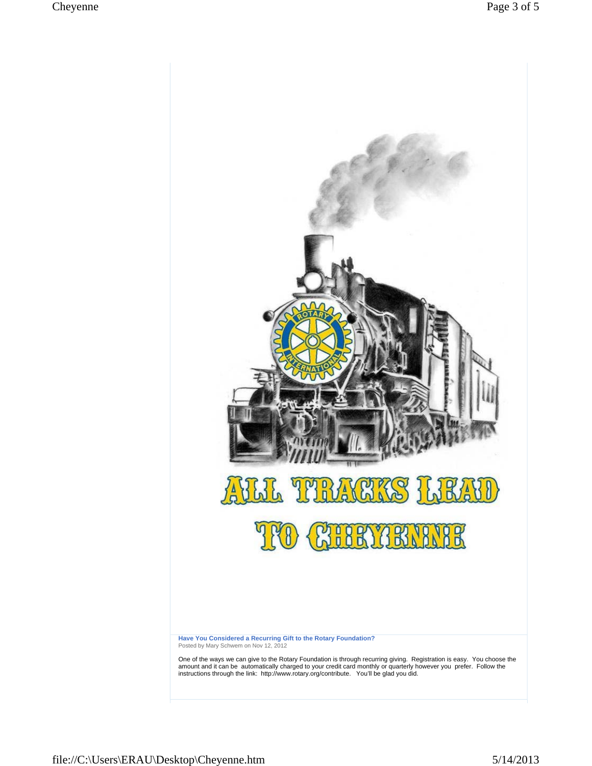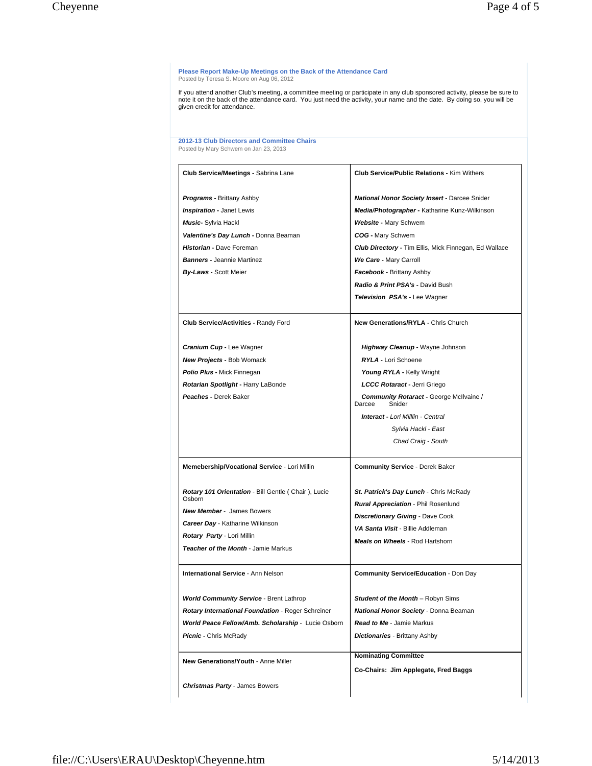## **Please Report Make-Up Meetings on the Back of the Attendance Card**  Posted by Teresa S. Moore on Aug 06, 2012

If you attend another Club's meeting, a committee meeting or participate in any club sponsored activity, please be sure to<br>note it on the back of the attendance card. You just need the activity, your name and the date. By

**2012-13 Club Directors and Committee Chairs** Posted by Mary Schwem on Jan 23, 2013

| Club Service/Meetings - Sabrina Lane                                  | <b>Club Service/Public Relations - Kim Withers</b>                 |  |  |
|-----------------------------------------------------------------------|--------------------------------------------------------------------|--|--|
| <b>Programs - Brittany Ashby</b>                                      | <b>National Honor Society Insert - Darcee Snider</b>               |  |  |
| <b>Inspiration - Janet Lewis</b>                                      | Media/Photographer - Katharine Kunz-Wilkinson                      |  |  |
| Music-Sylvia Hackl                                                    | Website - Mary Schwem                                              |  |  |
| Valentine's Day Lunch - Donna Beaman                                  | COG - Mary Schwem                                                  |  |  |
| Historian - Dave Foreman                                              | <b>Club Directory - Tim Ellis, Mick Finnegan, Ed Wallace</b>       |  |  |
| <b>Banners - Jeannie Martinez</b>                                     | We Care - Mary Carroll                                             |  |  |
| <b>By-Laws - Scott Meier</b>                                          | <b>Facebook - Brittany Ashby</b>                                   |  |  |
|                                                                       | Radio & Print PSA's - David Bush                                   |  |  |
|                                                                       | Television PSA's - Lee Wagner                                      |  |  |
| <b>Club Service/Activities - Randy Ford</b>                           | New Generations/RYLA - Chris Church                                |  |  |
| <b>Cranium Cup - Lee Wagner</b>                                       | Highway Cleanup - Wayne Johnson                                    |  |  |
| <b>New Projects - Bob Womack</b>                                      | <b>RYLA - Lori Schoene</b>                                         |  |  |
| <b>Polio Plus - Mick Finnegan</b>                                     | Young RYLA - Kelly Wright                                          |  |  |
| Rotarian Spotlight - Harry LaBonde                                    | LCCC Rotaract - Jerri Griego                                       |  |  |
| Peaches - Derek Baker                                                 | <b>Community Rotaract - George McIlvaine /</b><br>Snider<br>Darcee |  |  |
|                                                                       | <b>Interact - Lori Milllin - Central</b>                           |  |  |
|                                                                       | Sylvia Hackl - East                                                |  |  |
|                                                                       | Chad Craig - South                                                 |  |  |
| Memebership/Vocational Service - Lori Millin                          | <b>Community Service - Derek Baker</b>                             |  |  |
| Rotary 101 Orientation - Bill Gentle (Chair), Lucie<br>Osborn         | St. Patrick's Day Lunch - Chris McRady                             |  |  |
| <b>New Member - James Bowers</b>                                      | <b>Rural Appreciation - Phil Rosenlund</b>                         |  |  |
|                                                                       | <b>Discretionary Giving - Dave Cook</b>                            |  |  |
| <b>Career Day - Katharine Wilkinson</b><br>Rotary Party - Lori Millin | VA Santa Visit - Billie Addleman                                   |  |  |
| Teacher of the Month - Jamie Markus                                   | <b>Meals on Wheels - Rod Hartshorn</b>                             |  |  |
| International Service - Ann Nelson                                    | <b>Community Service/Education - Don Day</b>                       |  |  |
| <b>World Community Service -</b> Brent Lathrop                        | <b>Student of the Month</b> – Robyn Sims                           |  |  |
| Rotary International Foundation - Roger Schreiner                     | National Honor Society - Donna Beaman                              |  |  |
| World Peace Fellow/Amb. Scholarship - Lucie Osborn                    | Read to Me - Jamie Markus                                          |  |  |
| <b>Picnic - Chris McRady</b>                                          | <b>Dictionaries - Brittany Ashby</b>                               |  |  |
| New Generations/Youth - Anne Miller                                   | <b>Nominating Committee</b>                                        |  |  |
|                                                                       | Co-Chairs: Jim Applegate, Fred Baggs                               |  |  |
| <b>Christmas Party - James Bowers</b>                                 |                                                                    |  |  |